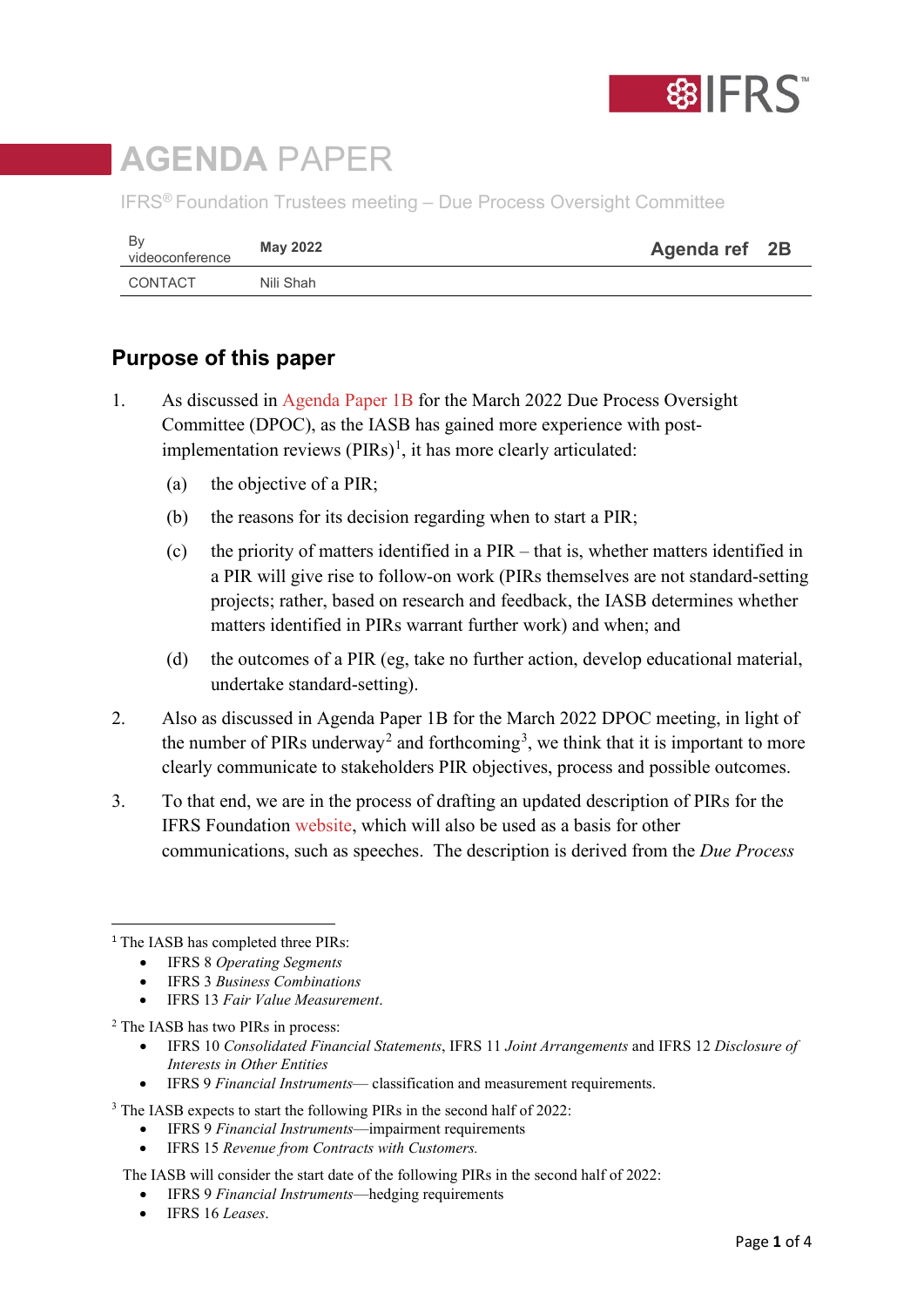

# **AGENDA** PAPER

IFRS® Foundation Trustees meeting – Due Process Oversight Committee

| Bv<br>videoconference | <b>May 2022</b> | Agenda ref 2B |  |
|-----------------------|-----------------|---------------|--|
| CONTACT               | Nili Shah       |               |  |

## **Purpose of this paper**

- 1. As discussed in [Agenda Paper 1B](https://www.ifrs.org/content/dam/ifrs/meetings/2022/march/dpoc/ap1b-dpoc-iasb-technical-activities.pdf) for the March 2022 Due Process Oversight Committee (DPOC), as the IASB has gained more experience with postimplementation reviews  $(PIRs)^1$  $(PIRs)^1$ , it has more clearly articulated:
	- (a) the objective of a PIR;
	- (b) the reasons for its decision regarding when to start a PIR;
	- (c) the priority of matters identified in a PIR that is, whether matters identified in a PIR will give rise to follow-on work (PIRs themselves are not standard-setting projects; rather, based on research and feedback, the IASB determines whether matters identified in PIRs warrant further work) and when; and
	- (d) the outcomes of a PIR (eg, take no further action, develop educational material, undertake standard-setting).
- 2. Also as discussed in Agenda Paper 1B for the March 2022 DPOC meeting, in light of the number of PIRs underway<sup>[2](#page-0-1)</sup> and forthcoming<sup>[3](#page-0-2)</sup>, we think that it is important to more clearly communicate to stakeholders PIR objectives, process and possible outcomes.
- 3. To that end, we are in the process of drafting an updated description of PIRs for the IFRS Foundation [website,](https://www.ifrs.org/projects/post-implementation-reviews/) which will also be used as a basis for other communications, such as speeches. The description is derived from the *Due Process*

• IFRS 13 *Fair Value Measurement*.

<span id="page-0-1"></span><sup>2</sup> The IASB has two PIRs in process:

- IFRS 10 *Consolidated Financial Statements*, IFRS 11 *Joint Arrangements* and IFRS 12 *Disclosure of Interests in Other Entities*
- IFRS 9 *Financial Instruments* classification and measurement requirements.

<span id="page-0-2"></span><sup>3</sup> The IASB expects to start the following PIRs in the second half of 2022:

- IFRS 9 *Financial Instruments*—impairment requirements
- IFRS 15 *Revenue from Contracts with Customers.*

The IASB will consider the start date of the following PIRs in the second half of 2022:

- IFRS 9 *Financial Instruments*—hedging requirements
- IFRS 16 *Leases*.

<span id="page-0-0"></span><sup>&</sup>lt;sup>1</sup> The IASB has completed three PIRs:

<sup>•</sup> IFRS 8 *Operating Segments*

<sup>•</sup> IFRS 3 *Business Combinations*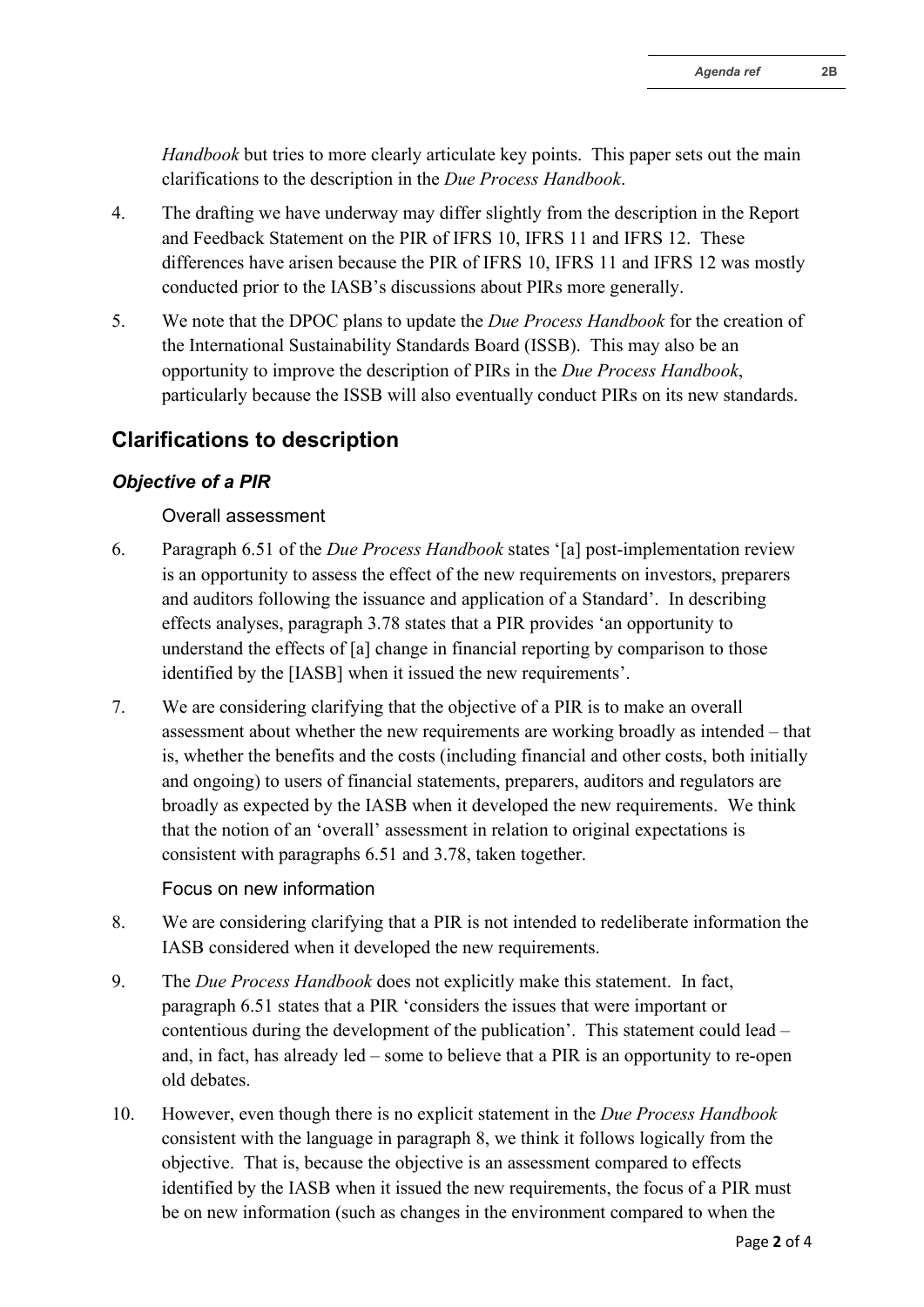*Handbook* but tries to more clearly articulate key points. This paper sets out the main clarifications to the description in the *Due Process Handbook*.

- 4. The drafting we have underway may differ slightly from the description in the Report and Feedback Statement on the PIR of IFRS 10, IFRS 11 and IFRS 12. These differences have arisen because the PIR of IFRS 10, IFRS 11 and IFRS 12 was mostly conducted prior to the IASB's discussions about PIRs more generally.
- 5. We note that the DPOC plans to update the *Due Process Handbook* for the creation of the International Sustainability Standards Board (ISSB). This may also be an opportunity to improve the description of PIRs in the *Due Process Handbook*, particularly because the ISSB will also eventually conduct PIRs on its new standards.

## **Clarifications to description**

#### *Objective of a PIR*

#### Overall assessment

- 6. Paragraph 6.51 of the *Due Process Handbook* states '[a] post-implementation review is an opportunity to assess the effect of the new requirements on investors, preparers and auditors following the issuance and application of a Standard'. In describing effects analyses, paragraph 3.78 states that a PIR provides 'an opportunity to understand the effects of [a] change in financial reporting by comparison to those identified by the [IASB] when it issued the new requirements'.
- 7. We are considering clarifying that the objective of a PIR is to make an overall assessment about whether the new requirements are working broadly as intended – that is, whether the benefits and the costs (including financial and other costs, both initially and ongoing) to users of financial statements, preparers, auditors and regulators are broadly as expected by the IASB when it developed the new requirements. We think that the notion of an 'overall' assessment in relation to original expectations is consistent with paragraphs 6.51 and 3.78, taken together.

#### Focus on new information

- 8. We are considering clarifying that a PIR is not intended to redeliberate information the IASB considered when it developed the new requirements.
- 9. The *Due Process Handbook* does not explicitly make this statement. In fact, paragraph 6.51 states that a PIR 'considers the issues that were important or contentious during the development of the publication'. This statement could lead – and, in fact, has already led – some to believe that a PIR is an opportunity to re-open old debates.
- 10. However, even though there is no explicit statement in the *Due Process Handbook*  consistent with the language in paragraph 8, we think it follows logically from the objective. That is, because the objective is an assessment compared to effects identified by the IASB when it issued the new requirements, the focus of a PIR must be on new information (such as changes in the environment compared to when the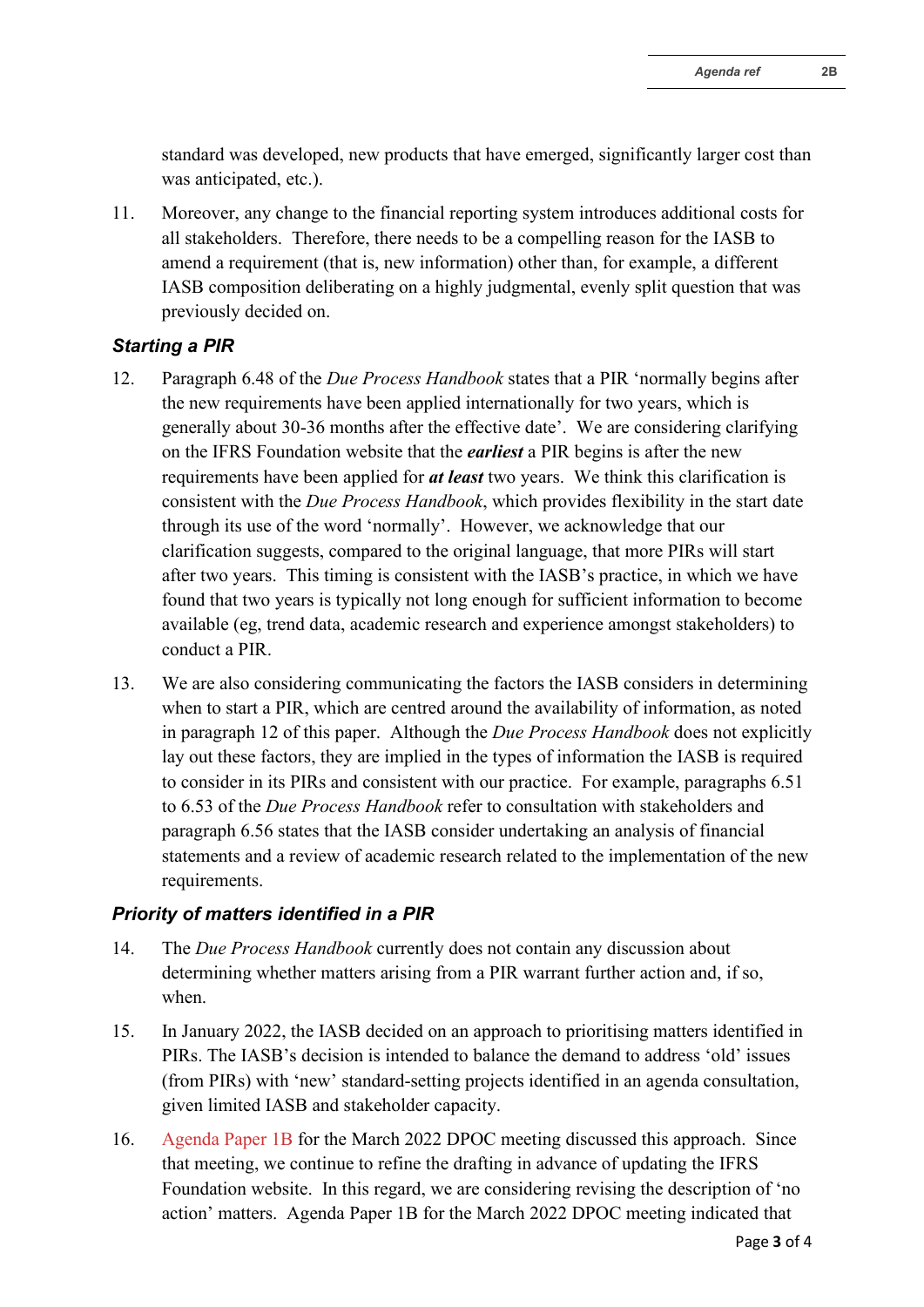11. Moreover, any change to the financial reporting system introduces additional costs for all stakeholders. Therefore, there needs to be a compelling reason for the IASB to amend a requirement (that is, new information) other than, for example, a different IASB composition deliberating on a highly judgmental, evenly split question that was previously decided on.

### *Starting a PIR*

- 12. Paragraph 6.48 of the *Due Process Handbook* states that a PIR 'normally begins after the new requirements have been applied internationally for two years, which is generally about 30-36 months after the effective date'. We are considering clarifying on the IFRS Foundation website that the *earliest* a PIR begins is after the new requirements have been applied for *at least* two years. We think this clarification is consistent with the *Due Process Handbook*, which provides flexibility in the start date through its use of the word 'normally'. However, we acknowledge that our clarification suggests, compared to the original language, that more PIRs will start after two years. This timing is consistent with the IASB's practice, in which we have found that two years is typically not long enough for sufficient information to become available (eg, trend data, academic research and experience amongst stakeholders) to conduct a PIR.
- 13. We are also considering communicating the factors the IASB considers in determining when to start a PIR, which are centred around the availability of information, as noted in paragraph 12 of this paper. Although the *Due Process Handbook* does not explicitly lay out these factors, they are implied in the types of information the IASB is required to consider in its PIRs and consistent with our practice. For example, paragraphs 6.51 to 6.53 of the *Due Process Handbook* refer to consultation with stakeholders and paragraph 6.56 states that the IASB consider undertaking an analysis of financial statements and a review of academic research related to the implementation of the new requirements.

#### *Priority of matters identified in a PIR*

- 14. The *Due Process Handbook* currently does not contain any discussion about determining whether matters arising from a PIR warrant further action and, if so, when.
- 15. In January 2022, the IASB decided on an approach to prioritising matters identified in PIRs. The IASB's decision is intended to balance the demand to address 'old' issues (from PIRs) with 'new' standard-setting projects identified in an agenda consultation, given limited IASB and stakeholder capacity.
- 16. [Agenda Paper 1B](https://www.ifrs.org/content/dam/ifrs/meetings/2022/march/dpoc/ap1b-dpoc-iasb-technical-activities.pdf) for the March 2022 DPOC meeting discussed this approach. Since that meeting, we continue to refine the drafting in advance of updating the IFRS Foundation website. In this regard, we are considering revising the description of 'no action' matters. Agenda Paper 1B for the March 2022 DPOC meeting indicated that